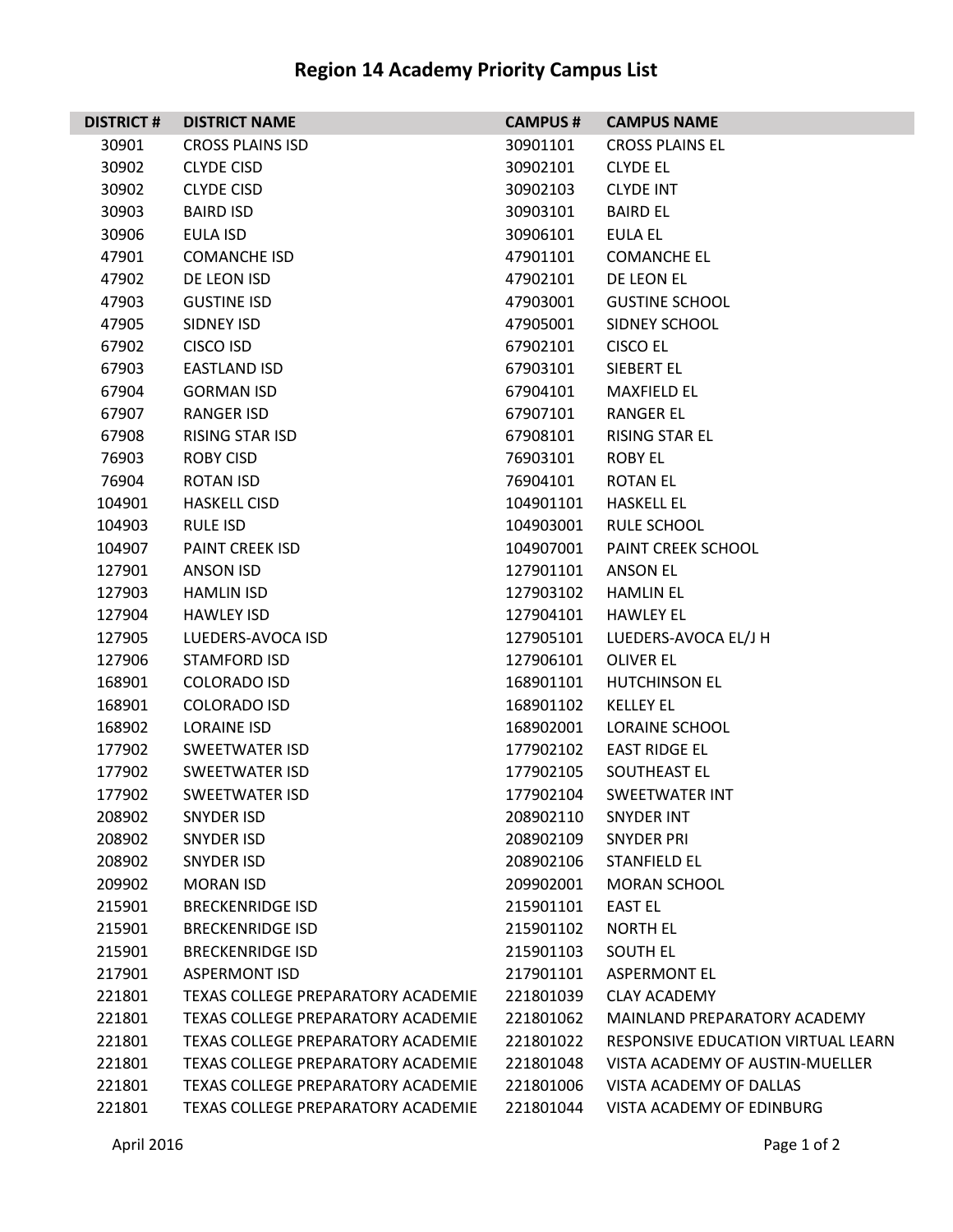| <b>DISTRICT#</b> | <b>DISTRICT NAME</b>                      | <b>CAMPUS#</b> | <b>CAMPUS NAME</b>                 |
|------------------|-------------------------------------------|----------------|------------------------------------|
| 30901            | <b>CROSS PLAINS ISD</b>                   | 30901101       | <b>CROSS PLAINS EL</b>             |
| 30902            | <b>CLYDE CISD</b>                         | 30902101       | <b>CLYDE EL</b>                    |
| 30902            | <b>CLYDE CISD</b>                         | 30902103       | <b>CLYDE INT</b>                   |
| 30903            | <b>BAIRD ISD</b>                          | 30903101       | <b>BAIRD EL</b>                    |
| 30906            | EULA ISD                                  | 30906101       | EULA EL                            |
| 47901            | <b>COMANCHE ISD</b>                       | 47901101       | <b>COMANCHE EL</b>                 |
| 47902            | DE LEON ISD                               | 47902101       | DE LEON EL                         |
| 47903            | <b>GUSTINE ISD</b>                        | 47903001       | <b>GUSTINE SCHOOL</b>              |
| 47905            | SIDNEY ISD                                | 47905001       | SIDNEY SCHOOL                      |
| 67902            | <b>CISCO ISD</b>                          | 67902101       | <b>CISCO EL</b>                    |
| 67903            | <b>EASTLAND ISD</b>                       | 67903101       | SIEBERT EL                         |
| 67904            | <b>GORMAN ISD</b>                         | 67904101       | <b>MAXFIELD EL</b>                 |
| 67907            | <b>RANGER ISD</b>                         | 67907101       | <b>RANGER EL</b>                   |
| 67908            | RISING STAR ISD                           | 67908101       | <b>RISING STAR EL</b>              |
| 76903            | <b>ROBY CISD</b>                          | 76903101       | <b>ROBY EL</b>                     |
| 76904            | ROTAN ISD                                 | 76904101       | <b>ROTAN EL</b>                    |
| 104901           | <b>HASKELL CISD</b>                       | 104901101      | <b>HASKELL EL</b>                  |
| 104903           | <b>RULE ISD</b>                           | 104903001      | <b>RULE SCHOOL</b>                 |
| 104907           | <b>PAINT CREEK ISD</b>                    | 104907001      | PAINT CREEK SCHOOL                 |
| 127901           | ANSON ISD                                 | 127901101      | ANSON EL                           |
| 127903           | <b>HAMLIN ISD</b>                         | 127903102      | <b>HAMLIN EL</b>                   |
| 127904           | <b>HAWLEY ISD</b>                         | 127904101      | <b>HAWLEY EL</b>                   |
| 127905           | LUEDERS-AVOCA ISD                         | 127905101      | LUEDERS-AVOCA EL/J H               |
| 127906           | <b>STAMFORD ISD</b>                       | 127906101      | <b>OLIVER EL</b>                   |
| 168901           | <b>COLORADO ISD</b>                       | 168901101      | <b>HUTCHINSON EL</b>               |
| 168901           | <b>COLORADO ISD</b>                       | 168901102      | <b>KELLEY EL</b>                   |
| 168902           | LORAINE ISD                               | 168902001      | <b>LORAINE SCHOOL</b>              |
| 177902           | <b>SWEETWATER ISD</b>                     | 177902102      | <b>EAST RIDGE EL</b>               |
| 177902           | <b>SWEETWATER ISD</b>                     | 177902105      | SOUTHEAST EL                       |
| 177902           | <b>SWEETWATER ISD</b>                     | 177902104      | <b>SWEETWATER INT</b>              |
| 208902           | <b>SNYDER ISD</b>                         | 208902110      | <b>SNYDER INT</b>                  |
| 208902           | <b>SNYDER ISD</b>                         | 208902109      | <b>SNYDER PRI</b>                  |
| 208902           | <b>SNYDER ISD</b>                         | 208902106      | <b>STANFIELD EL</b>                |
| 209902           | <b>MORAN ISD</b>                          | 209902001      | <b>MORAN SCHOOL</b>                |
| 215901           | <b>BRECKENRIDGE ISD</b>                   | 215901101      | <b>EAST EL</b>                     |
| 215901           | <b>BRECKENRIDGE ISD</b>                   | 215901102      | <b>NORTH EL</b>                    |
| 215901           | <b>BRECKENRIDGE ISD</b>                   | 215901103      | <b>SOUTH EL</b>                    |
| 217901           | <b>ASPERMONT ISD</b>                      | 217901101      | <b>ASPERMONT EL</b>                |
| 221801           | TEXAS COLLEGE PREPARATORY ACADEMIE        | 221801039      | <b>CLAY ACADEMY</b>                |
| 221801           | <b>TEXAS COLLEGE PREPARATORY ACADEMIE</b> | 221801062      | MAINLAND PREPARATORY ACADEMY       |
| 221801           | <b>TEXAS COLLEGE PREPARATORY ACADEMIE</b> | 221801022      | RESPONSIVE EDUCATION VIRTUAL LEARN |
| 221801           | TEXAS COLLEGE PREPARATORY ACADEMIE        | 221801048      | VISTA ACADEMY OF AUSTIN-MUELLER    |
| 221801           | TEXAS COLLEGE PREPARATORY ACADEMIE        | 221801006      | VISTA ACADEMY OF DALLAS            |
| 221801           | TEXAS COLLEGE PREPARATORY ACADEMIE        | 221801044      | VISTA ACADEMY OF EDINBURG          |